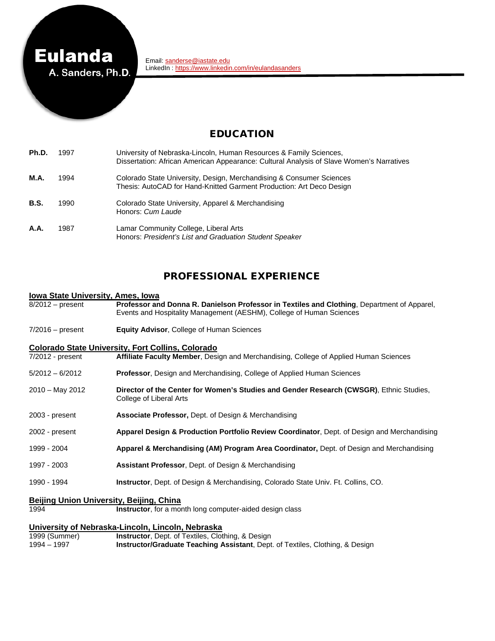

# EDUCATION

| Ph.D. | 1997 | University of Nebraska-Lincoln, Human Resources & Family Sciences,<br>Dissertation: African American Appearance: Cultural Analysis of Slave Women's Narratives |
|-------|------|----------------------------------------------------------------------------------------------------------------------------------------------------------------|
| M.A.  | 1994 | Colorado State University, Design, Merchandising & Consumer Sciences<br>Thesis: AutoCAD for Hand-Knitted Garment Production: Art Deco Design                   |
| B.S.  | 1990 | Colorado State University, Apparel & Merchandising<br>Honors: Cum Laude                                                                                        |
| A.A.  | 1987 | Lamar Community College, Liberal Arts<br>Honors: President's List and Graduation Student Speaker                                                               |

#### PROFESSIONAL EXPERIENCE

#### **Iowa State University, Ames, Iowa**

| $8/2012$ – present | Professor and Donna R. Danielson Professor in Textiles and Clothing, Department of Apparel, |
|--------------------|---------------------------------------------------------------------------------------------|
|                    | Events and Hospitality Management (AESHM), College of Human Sciences                        |

7/2016 – present **Equity Advisor**, College of Human Sciences

# **Colorado State University, Fort Collins, Colorado**<br>**7/2012 - present Affiliate Faculty Member**, Desi

- Affiliate Faculty Member, Design and Merchandising, College of Applied Human Sciences
- 5/2012 6/2012 **Professor**, Design and Merchandising, College of Applied Human Sciences
- 2010 May 2012 **Director of the Center for Women's Studies and Gender Research (CWSGR)**, Ethnic Studies, College of Liberal Arts
- 2003 present **Associate Professor,** Dept. of Design & Merchandising
- 2002 present **Apparel Design & Production Portfolio Review Coordinator**, Dept. of Design and Merchandising
- 1999 2004 **Apparel & Merchandising (AM) Program Area Coordinator,** Dept. of Design and Merchandising
- 1997 2003 **Assistant Professor**, Dept. of Design & Merchandising
- 1990 1994 **Instructor**, Dept. of Design & Merchandising, Colorado State Univ. Ft. Collins, CO.

# **Beijing Union University, Beijing, China**

**Instructor**, for a month long computer-aided design class

#### **University of Nebraska-Lincoln, Lincoln, Nebraska**

| 1999 (Summer) | <b>Instructor, Dept. of Textiles, Clothing, &amp; Design</b>                             |
|---------------|------------------------------------------------------------------------------------------|
| 1994 – 1997   | <b>Instructor/Graduate Teaching Assistant, Dept. of Textiles, Clothing, &amp; Design</b> |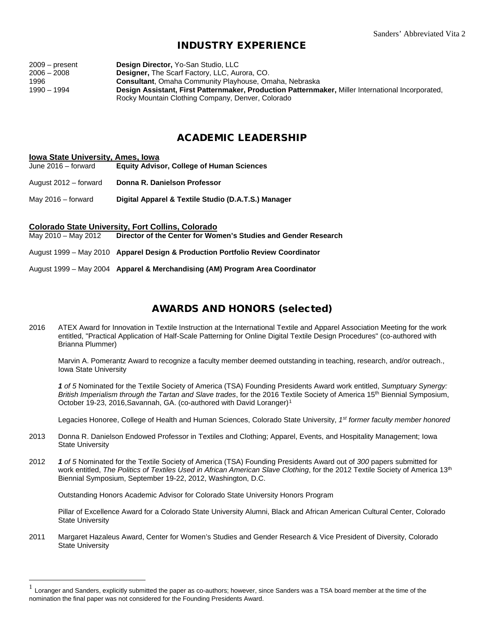# INDUSTRY EXPERIENCE

| $2009 - present$ | Design Director, Yo-San Studio, LLC                                                               |
|------------------|---------------------------------------------------------------------------------------------------|
| $2006 - 2008$    | <b>Designer, The Scarf Factory, LLC, Aurora, CO.</b>                                              |
| 1996             | <b>Consultant</b> , Omaha Community Playhouse, Omaha, Nebraska                                    |
| 1990 – 1994      | Design Assistant, First Patternmaker, Production Patternmaker, Miller International Incorporated, |
|                  | Rocky Mountain Clothing Company, Denver, Colorado                                                 |

#### ACADEMIC LEADERSHIP

- **Iowa State University, Ames, Iowa**<br>June 2016 forward **Equity Advis Equity Advisor, College of Human Sciences**
- August 2012 forward **Donna R. Danielson Professor**
- May 2016 forward **Digital Apparel & Textile Studio (D.A.T.S.) Manager**

# **Colorado State University, Fort Collins, Colorado**<br>May 2010 – May 2012 Director of the Center for Wor

**Director of the Center for Women's Studies and Gender Research** 

August 1999 – May 2010 **Apparel Design & Production Portfolio Review Coordinator**

August 1999 – May 2004 **Apparel & Merchandising (AM) Program Area Coordinator**

## AWARDS AND HONORS (selected)

2016 ATEX Award for Innovation in Textile Instruction at the International Textile and Apparel Association Meeting for the work entitled, "Practical Application of Half-Scale Patterning for Online Digital Textile Design Procedures" (co-authored with Brianna Plummer)

Marvin A. Pomerantz Award to recognize a faculty member deemed outstanding in teaching, research, and/or outreach., Iowa State University

*1 of 5* Nominated for the Textile Society of America (TSA) Founding Presidents Award work entitled, *Sumptuary Synergy: British Imperialism through the Tartan and Slave trades*, for the 2016 Textile Society of America 15th Biennial Symposium, October [1](#page-1-0)9-23, 2016, Savannah, GA. (co-authored with David Loranger)<sup>1</sup>

Legacies Honoree, College of Health and Human Sciences, Colorado State University, *1st former faculty member honored*

- 2013 Donna R. Danielson Endowed Professor in Textiles and Clothing; Apparel, Events, and Hospitality Management; Iowa State University
- 2012 *1 of 5* Nominated for the Textile Society of America (TSA) Founding Presidents Award out of *300* papers submitted for work entitled, *The Politics of Textiles Used in African American Slave Clothing*, for the 2012 Textile Society of America 13<sup>th</sup> Biennial Symposium, September 19-22, 2012, Washington, D.C.

Outstanding Honors Academic Advisor for Colorado State University Honors Program

Pillar of Excellence Award for a Colorado State University Alumni, Black and African American Cultural Center, Colorado State University

2011 Margaret Hazaleus Award, Center for Women's Studies and Gender Research & Vice President of Diversity, Colorado State University

<span id="page-1-0"></span> $<sup>1</sup>$  Loranger and Sanders, explicitly submitted the paper as co-authors; however, since Sanders was a TSA board member at the time of the</sup> nomination the final paper was not considered for the Founding Presidents Award.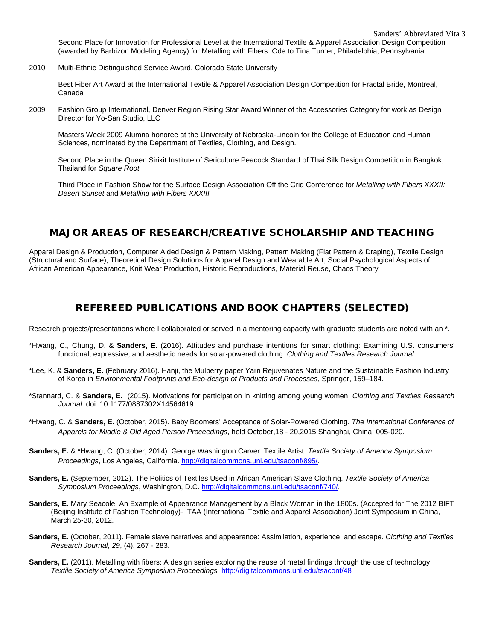Second Place for Innovation for Professional Level at the International Textile & Apparel Association Design Competition (awarded by Barbizon Modeling Agency) for Metalling with Fibers: Ode to Tina Turner, Philadelphia, Pennsylvania

2010 Multi-Ethnic Distinguished Service Award, Colorado State University

Best Fiber Art Award at the International Textile & Apparel Association Design Competition for Fractal Bride, Montreal, Canada

2009 Fashion Group International, Denver Region Rising Star Award Winner of the Accessories Category for work as Design Director for Yo-San Studio, LLC

Masters Week 2009 Alumna honoree at the University of Nebraska-Lincoln for the College of Education and Human Sciences, nominated by the Department of Textiles, Clothing, and Design.

Second Place in the Queen Sirikit Institute of Sericulture Peacock Standard of Thai Silk Design Competition in Bangkok, Thailand for *Square Root.*

Third Place in Fashion Show for the Surface Design Association Off the Grid Conference for *Metalling with Fibers XXXII: Desert Sunset* and *Metalling with Fibers XXXIII*

# MAJOR AREAS OF RESEARCH/CREATIVE SCHOLARSHIP AND TEACHING

Apparel Design & Production, Computer Aided Design & Pattern Making, Pattern Making (Flat Pattern & Draping), Textile Design (Structural and Surface), Theoretical Design Solutions for Apparel Design and Wearable Art, Social Psychological Aspects of African American Appearance, Knit Wear Production, Historic Reproductions, Material Reuse, Chaos Theory

#### REFEREED PUBLICATIONS AND BOOK CHAPTERS (SELECTED)

Research projects/presentations where I collaborated or served in a mentoring capacity with graduate students are noted with an \*.

- \*Hwang, C., Chung, D. & **Sanders, E.** (2016). Attitudes and purchase intentions for smart clothing: Examining U.S. consumers' functional, expressive, and aesthetic needs for solar-powered clothing. *Clothing and Textiles Research Journal.*
- \*Lee, K. & **Sanders, E.** (February 2016). Hanji, the Mulberry paper Yarn Rejuvenates Nature and the Sustainable Fashion Industry of Korea in *Environmental Footprints and Eco-design of Products and Processes*, Springer, 159–184.
- \*Stannard, C. & **Sanders, E.** (2015). Motivations for participation in knitting among young women. *Clothing and Textiles Research Journal*. doi: 10.1177/0887302X14564619
- \*Hwang, C. & **Sanders, E.** (October, 2015). Baby Boomers' Acceptance of Solar-Powered Clothing. *The International Conference of Apparels for Middle & Old Aged Person Proceedings*, held October,18 - 20,2015,Shanghai, China, 005-020.
- **Sanders, E.** & \*Hwang, C. (October, 2014). George Washington Carver: Textile Artist. *Textile Society of America Symposium Proceedings*, Los Angeles, California[. http://digitalcommons.unl.edu/tsaconf/895/.](http://digitalcommons.unl.edu/tsaconf/895/)
- **Sanders, E.** (September, 2012). The Politics of Textiles Used in African American Slave Clothing. *Textile Society of America Symposium Proceedings*, Washington, D.C. [http://digitalcommons.unl.edu/tsaconf/740/.](http://digitalcommons.unl.edu/tsaconf/740/)
- **Sanders, E.** Mary Seacole: An Example of Appearance Management by a Black Woman in the 1800s. (Accepted for The 2012 BIFT (Beijing Institute of Fashion Technology)- ITAA (International Textile and Apparel Association) Joint Symposium in China, March 25-30, 2012.
- **Sanders, E.** (October, 2011). Female slave narratives and appearance: Assimilation, experience, and escape. *Clothing and Textiles Research Journal*, *29*, (4), 267 - 283.
- **Sanders, E.** (2011). Metalling with fibers: A design series exploring the reuse of metal findings through the use of technology. *Textile Society of America Symposium Proceedings.* <http://digitalcommons.unl.edu/tsaconf/48>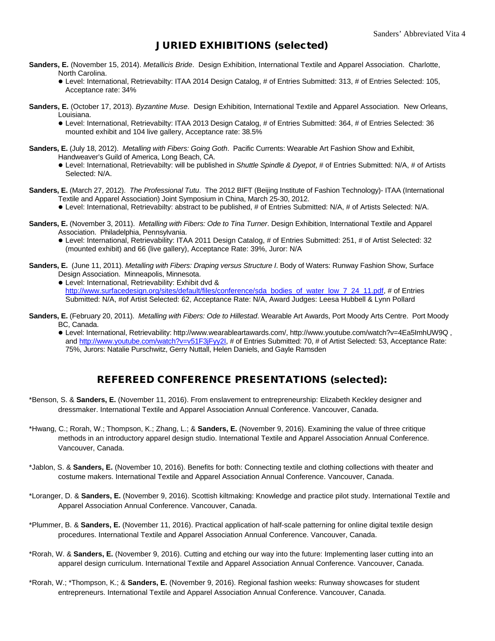#### JURIED EXHIBITIONS (selected)

- **Sanders, E.** (November 15, 2014). *Metallicis Bride*. Design Exhibition, International Textile and Apparel Association. Charlotte, North Carolina.
	- Level: International, Retrievabilty: ITAA 2014 Design Catalog, # of Entries Submitted: 313, # of Entries Selected: 105, Acceptance rate: 34%
- **Sanders, E.** (October 17, 2013). *Byzantine Muse*. Design Exhibition, International Textile and Apparel Association. New Orleans, Louisiana.
	- Level: International, Retrievabilty: ITAA 2013 Design Catalog, # of Entries Submitted: 364, # of Entries Selected: 36 mounted exhibit and 104 live gallery, Acceptance rate: 38.5%
- **Sanders, E.** (July 18, 2012). *Metalling with Fibers: Going Goth*. Pacific Currents: Wearable Art Fashion Show and Exhibit, Handweaver's Guild of America, Long Beach, CA.
	- Level: International, Retrievabilty: will be published in *Shuttle Spindle & Dyepot*, # of Entries Submitted: N/A, # of Artists Selected: N/A.
- **Sanders, E.** (March 27, 2012). *The Professional Tutu*. The 2012 BIFT (Beijing Institute of Fashion Technology)- ITAA (International Textile and Apparel Association) Joint Symposium in China, March 25-30, 2012. Level: International, Retrievabilty: abstract to be published, # of Entries Submitted: N/A, # of Artists Selected: N/A.
- **Sanders, E.** (November 3, 2011). *Metalling with Fibers: Ode to Tina Turner*. Design Exhibition, International Textile and Apparel Association. Philadelphia, Pennsylvania.
	- Level: International, Retrievability: ITAA 2011 Design Catalog, # of Entries Submitted: 251, # of Artist Selected: 32 (mounted exhibit) and 66 (live gallery), Acceptance Rate: 39%, Juror: N/A
- **Sanders, E.** (June 11, 2011). *Metalling with Fibers: Draping versus Structure I*. Body of Waters: Runway Fashion Show, Surface Design Association. Minneapolis, Minnesota.
	- Level: International, Retrievability: Exhibit dvd & http://www.surfacedesign.org/sites/default/files/conference/sda\_bodies\_of\_water\_low\_7\_24\_11.pdf. # of Entries Submitted: N/A, #of Artist Selected: 62, Acceptance Rate: N/A, Award Judges: Leesa Hubbell & Lynn Pollard
- **Sanders, E.** (February 20, 2011). *Metalling with Fibers: Ode to Hillestad*. Wearable Art Awards, Port Moody Arts Centre. Port Moody BC, Canada.
	- Level: International, Retrievability: http://www.wearableartawards.com/, http://www.youtube.com/watch?v=4Ea5ImhUW9Q , and [http://www.youtube.com/watch?v=v51F3jFyy2I,](http://www.youtube.com/watch?v=v51F3jFyy2I) # of Entries Submitted: 70, # of Artist Selected: 53, Acceptance Rate: 75%, Jurors: Natalie Purschwitz, Gerry Nuttall, Helen Daniels, and Gayle Ramsden

#### REFEREED CONFERENCE PRESENTATIONS (selected):

- \*Benson, S. & **Sanders, E.** (November 11, 2016). From enslavement to entrepreneurship: Elizabeth Keckley designer and dressmaker. International Textile and Apparel Association Annual Conference. Vancouver, Canada.
- \*Hwang, C.; Rorah, W.; Thompson, K.; Zhang, L.; & **Sanders, E.** (November 9, 2016). Examining the value of three critique methods in an introductory apparel design studio. International Textile and Apparel Association Annual Conference. Vancouver, Canada.
- \*Jablon, S. & **Sanders, E.** (November 10, 2016). Benefits for both: Connecting textile and clothing collections with theater and costume makers. International Textile and Apparel Association Annual Conference. Vancouver, Canada.
- \*Loranger, D. & **Sanders, E.** (November 9, 2016). Scottish kiltmaking: Knowledge and practice pilot study. International Textile and Apparel Association Annual Conference. Vancouver, Canada.
- \*Plummer, B. & **Sanders, E.** (November 11, 2016). Practical application of half-scale patterning for online digital textile design procedures. International Textile and Apparel Association Annual Conference. Vancouver, Canada.
- \*Rorah, W. & **Sanders, E.** (November 9, 2016). Cutting and etching our way into the future: Implementing laser cutting into an apparel design curriculum. International Textile and Apparel Association Annual Conference. Vancouver, Canada.
- \*Rorah, W.; \*Thompson, K.; & **Sanders, E.** (November 9, 2016). Regional fashion weeks: Runway showcases for student entrepreneurs. International Textile and Apparel Association Annual Conference. Vancouver, Canada.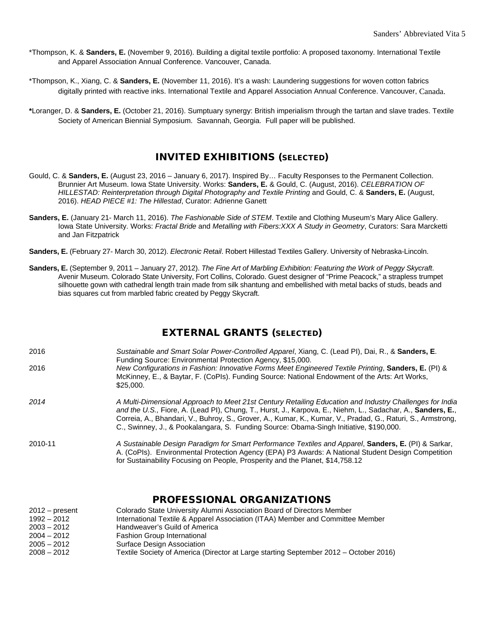- \*Thompson, K. & **Sanders, E.** (November 9, 2016). Building a digital textile portfolio: A proposed taxonomy. International Textile and Apparel Association Annual Conference. Vancouver, Canada.
- \*Thompson, K., Xiang, C. & **Sanders, E.** (November 11, 2016). It's a wash: Laundering suggestions for woven cotton fabrics digitally printed with reactive inks. International Textile and Apparel Association Annual Conference. Vancouver, Canada.
- **\***Loranger, D. & **Sanders, E.** (October 21, 2016). Sumptuary synergy: British imperialism through the tartan and slave trades. Textile Society of American Biennial Symposium. Savannah, Georgia. Full paper will be published.

# INVITED EXHIBITIONS (SELECTED)

- Gould, C. & **Sanders, E.** (August 23, 2016 January 6, 2017). Inspired By… Faculty Responses to the Permanent Collection. Brunnier Art Museum. Iowa State University. Works: **Sanders, E.** & Gould, C. (August, 2016). *CELEBRATION OF HILLESTAD: Reinterpretation through Digital Photography and Textile Printing* and Gould, C. & **Sanders, E.** (August, 2016). *HEAD PIECE #1: The Hillestad*, Curator: Adrienne Ganett
- **Sanders, E.** (January 21- March 11, 2016). *The Fashionable Side of STEM*. Textile and Clothing Museum's Mary Alice Gallery. Iowa State University. Works: *Fractal Bride* and *Metalling with Fibers:XXX A Study in Geometry*, Curators: Sara Marcketti and Jan Fitzpatrick
- **Sanders, E.** (February 27- March 30, 2012). *Electronic Retail*. Robert Hillestad Textiles Gallery. University of Nebraska-Lincoln.
- **Sanders, E.** (September 9, 2011 January 27, 2012). *The Fine Art of Marbling Exhibition: Featuring the Work of Peggy Skycraft*. Avenir Museum. Colorado State University, Fort Collins, Colorado. Guest designer of "Prime Peacock," a strapless trumpet silhouette gown with cathedral length train made from silk shantung and embellished with metal backs of studs, beads and bias squares cut from marbled fabric created by Peggy Skycraft.

## EXTERNAL GRANTS (SELECTED)

- 2016 *Sustainable and Smart Solar Power-Controlled Apparel*, Xiang, C. (Lead PI), Dai, R., & **Sanders, E**. Funding Source: Environmental Protection Agency, \$15,000. 2016 *New Configurations in Fashion: Innovative Forms Meet Engineered Textile Printing*, **Sanders, E.** (PI) & McKinney, E., & Baytar, F. (CoPIs). Funding Source: National Endowment of the Arts: Art Works, \$25,000. *2014 A Multi-Dimensional Approach to Meet 21st Century Retailing Education and Industry Challenges for India and the U.S.,* Fiore, A. (Lead PI), Chung, T., Hurst, J., Karpova, E., Niehm, L., Sadachar, A., **Sanders, E.**, Correia, A., Bhandari, V., Buhroy, S., Grover, A., Kumar, K., Kumar, V., Pradad, G., Raturi, S., Armstrong, C., Swinney, J., & Pookalangara, S. Funding Source: Obama-Singh Initiative, \$190,000. 2010-11 *A Sustainable Design Paradigm for Smart Performance Textiles and Apparel*, **Sanders, E.** (PI) & Sarkar, A. (CoPIs). Environmental Protection Agency (EPA) P3 Awards: A National Student Design Competition
	- for Sustainability Focusing on People, Prosperity and the Planet, \$14,758.12

# PROFESSIONAL ORGANIZATIONS

| $2012 - present$ | Colorado State University Alumni Association Board of Directors Member                |
|------------------|---------------------------------------------------------------------------------------|
| $1992 - 2012$    | International Textile & Apparel Association (ITAA) Member and Committee Member        |
| $2003 - 2012$    | Handweaver's Guild of America                                                         |
| $2004 - 2012$    | <b>Fashion Group International</b>                                                    |
| $2005 - 2012$    | Surface Design Association                                                            |
| $2008 - 2012$    | Textile Society of America (Director at Large starting September 2012 – October 2016) |